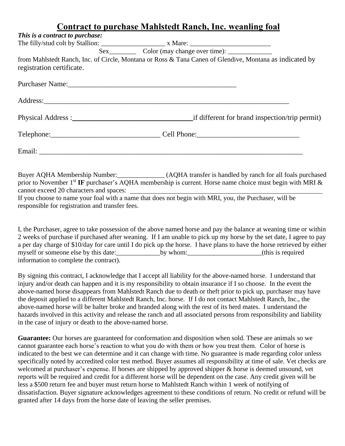## **Contract to purchase Mahlstedt Ranch, Inc. weanling foal**

| This is a contract to purchase: |                                                                                                                                                                                                                                      |  |
|---------------------------------|--------------------------------------------------------------------------------------------------------------------------------------------------------------------------------------------------------------------------------------|--|
|                                 |                                                                                                                                                                                                                                      |  |
|                                 |                                                                                                                                                                                                                                      |  |
|                                 | from Mahlstedt Ranch, Inc. of Circle, Montana or Ross & Tana Canen of Glendive, Montana as indicated by                                                                                                                              |  |
| registration certificate.       |                                                                                                                                                                                                                                      |  |
|                                 |                                                                                                                                                                                                                                      |  |
|                                 |                                                                                                                                                                                                                                      |  |
|                                 |                                                                                                                                                                                                                                      |  |
|                                 |                                                                                                                                                                                                                                      |  |
|                                 | Email: <u>Alexander Alexander and Alexander and Alexander and Alexander and Alexander and Alexander and Alexander and Alexander and Alexander and Alexander and Alexander and Alexander and Alexander and Alexander and Alexande</u> |  |
|                                 | Buyer AQHA Membership Number:<br>(AQHA transfer is handled by ranch for all foals purchased                                                                                                                                          |  |

prior to November 1<sup>st</sup> IF purchaser's AQHA membership is current. Horse name choice must begin with MRI & cannot exceed 20 characters and spaces:

If you choose to name your foal with a name that does not begin with MRI, you, the Purchaser, will be responsible for registration and transfer fees.

I, the Purchaser, agree to take possession of the above named horse and pay the balance at weaning time or within 2 weeks of purchase if purchased after weaning. If I am unable to pick up my horse by the set date, I agree to pay a per day charge of \$10/day for care until I do pick up the horse. I have plans to have the horse retrieved by either myself or someone else by this date:\_\_\_\_\_\_\_\_\_\_\_\_\_by whom:\_\_\_\_\_\_\_\_\_\_\_\_\_\_\_\_\_\_\_\_\_\_(this is required information to complete the contract).

By signing this contract, I acknowledge that I accept all liability for the above-named horse. I understand that injury and/or death can happen and it is my responsibility to obtain insurance if I so choose. In the event the above-named horse disappears from Mahlstedt Ranch due to death or theft prior to pick up, purchaser may have the deposit applied to a different Mahlstedt Ranch, Inc. horse. If I do not contact Mahlstedt Ranch, Inc., the above-named horse will be halter broke and branded along with the rest of its herd mates. I understand the hazards involved in this activity and release the ranch and all associated persons from responsibility and liability in the case of injury or death to the above-named horse.

Guarantee: Our horses are guaranteed for conformation and disposition when sold. These are animals so we cannot guarantee each horse's reaction to what you do with them or how you treat them. Color of horse is indicated to the best we can determine and it can change with time. No guarantee is made regarding color unless specifically noted by accredited color test method. Buyer assumes all responsibility at time of sale. Vet checks are welcomed at purchaser's expense. If horses are shipped by approved shipper & horse is deemed unsound, vet reports will be required and credit for a different horse will be dependent on the case. Any credit given will be less a \$500 return fee and buyer must return horse to Mahlstedt Ranch within 1 week of notifying of dissatisfaction. Buyer signature acknowledges agreement to these conditions of return. No credit or refund will be granted after 14 days from the horse date of leaving the seller premises.